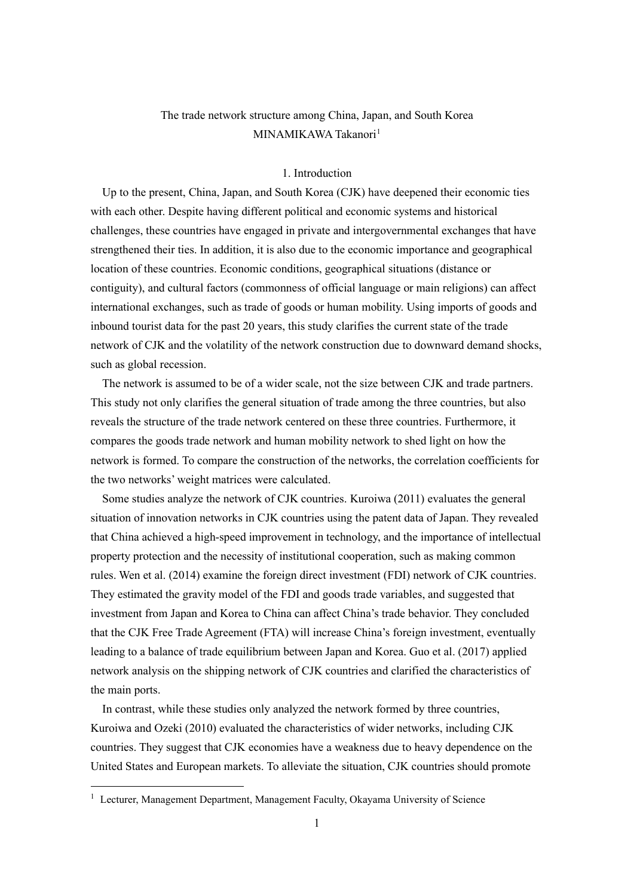# The trade network structure among China, Japan, and South Korea MINAMIKAWA Takanori<sup>[1](#page-0-0)</sup>

#### 1. Introduction

Up to the present, China, Japan, and South Korea (CJK) have deepened their economic ties with each other. Despite having different political and economic systems and historical challenges, these countries have engaged in private and intergovernmental exchanges that have strengthened their ties. In addition, it is also due to the economic importance and geographical location of these countries. Economic conditions, geographical situations (distance or contiguity), and cultural factors (commonness of official language or main religions) can affect international exchanges, such as trade of goods or human mobility. Using imports of goods and inbound tourist data for the past 20 years, this study clarifies the current state of the trade network of CJK and the volatility of the network construction due to downward demand shocks, such as global recession.

The network is assumed to be of a wider scale, not the size between CJK and trade partners. This study not only clarifies the general situation of trade among the three countries, but also reveals the structure of the trade network centered on these three countries. Furthermore, it compares the goods trade network and human mobility network to shed light on how the network is formed. To compare the construction of the networks, the correlation coefficients for the two networks' weight matrices were calculated.

Some studies analyze the network of CJK countries. Kuroiwa (2011) evaluates the general situation of innovation networks in CJK countries using the patent data of Japan. They revealed that China achieved a high-speed improvement in technology, and the importance of intellectual property protection and the necessity of institutional cooperation, such as making common rules. Wen et al. (2014) examine the foreign direct investment (FDI) network of CJK countries. They estimated the gravity model of the FDI and goods trade variables, and suggested that investment from Japan and Korea to China can affect China's trade behavior. They concluded that the CJK Free Trade Agreement (FTA) will increase China's foreign investment, eventually leading to a balance of trade equilibrium between Japan and Korea. Guo et al. (2017) applied network analysis on the shipping network of CJK countries and clarified the characteristics of the main ports.

In contrast, while these studies only analyzed the network formed by three countries, Kuroiwa and Ozeki (2010) evaluated the characteristics of wider networks, including CJK countries. They suggest that CJK economies have a weakness due to heavy dependence on the United States and European markets. To alleviate the situation, CJK countries should promote

<span id="page-0-0"></span><sup>&</sup>lt;sup>1</sup> Lecturer, Management Department, Management Faculty, Okayama University of Science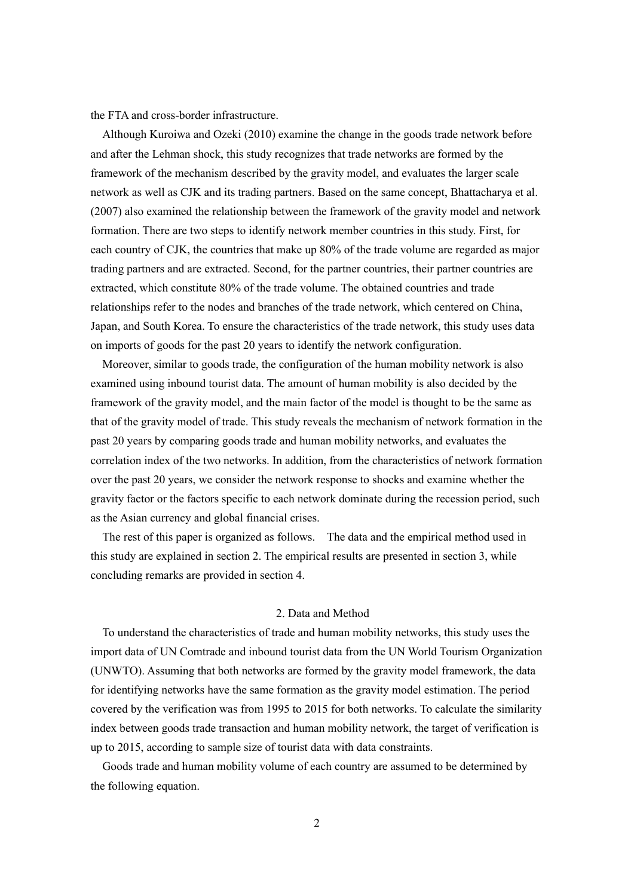the FTA and cross-border infrastructure.

Although Kuroiwa and Ozeki (2010) examine the change in the goods trade network before and after the Lehman shock, this study recognizes that trade networks are formed by the framework of the mechanism described by the gravity model, and evaluates the larger scale network as well as CJK and its trading partners. Based on the same concept, Bhattacharya et al. (2007) also examined the relationship between the framework of the gravity model and network formation. There are two steps to identify network member countries in this study. First, for each country of CJK, the countries that make up 80% of the trade volume are regarded as major trading partners and are extracted. Second, for the partner countries, their partner countries are extracted, which constitute 80% of the trade volume. The obtained countries and trade relationships refer to the nodes and branches of the trade network, which centered on China, Japan, and South Korea. To ensure the characteristics of the trade network, this study uses data on imports of goods for the past 20 years to identify the network configuration.

Moreover, similar to goods trade, the configuration of the human mobility network is also examined using inbound tourist data. The amount of human mobility is also decided by the framework of the gravity model, and the main factor of the model is thought to be the same as that of the gravity model of trade. This study reveals the mechanism of network formation in the past 20 years by comparing goods trade and human mobility networks, and evaluates the correlation index of the two networks. In addition, from the characteristics of network formation over the past 20 years, we consider the network response to shocks and examine whether the gravity factor or the factors specific to each network dominate during the recession period, such as the Asian currency and global financial crises.

The rest of this paper is organized as follows. The data and the empirical method used in this study are explained in section 2. The empirical results are presented in section 3, while concluding remarks are provided in section 4.

### 2. Data and Method

To understand the characteristics of trade and human mobility networks, this study uses the import data of UN Comtrade and inbound tourist data from the UN World Tourism Organization (UNWTO). Assuming that both networks are formed by the gravity model framework, the data for identifying networks have the same formation as the gravity model estimation. The period covered by the verification was from 1995 to 2015 for both networks. To calculate the similarity index between goods trade transaction and human mobility network, the target of verification is up to 2015, according to sample size of tourist data with data constraints.

Goods trade and human mobility volume of each country are assumed to be determined by the following equation.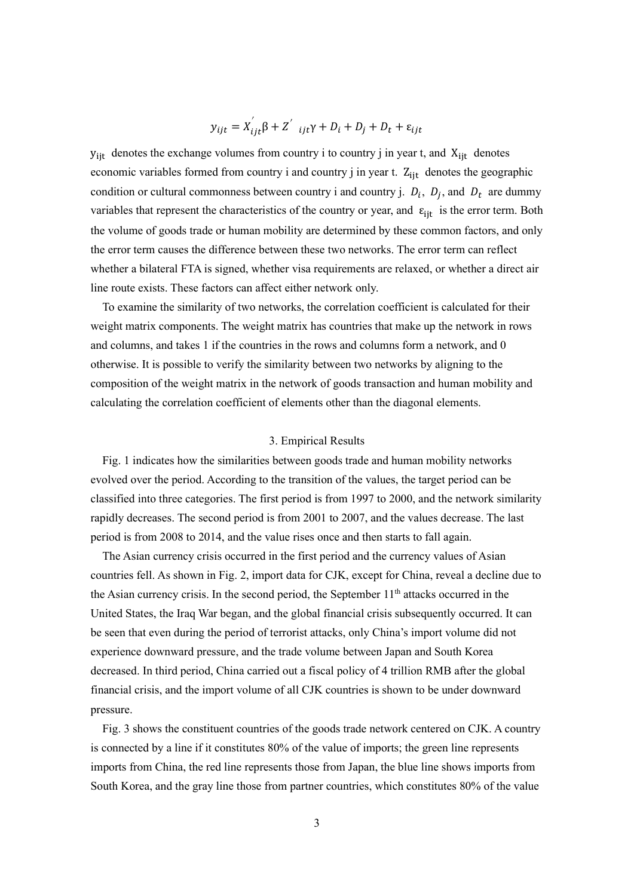$$
y_{ijt} = X_{ijt}'\beta + Z'_{ijt}\gamma + D_i + D_j + D_t + \varepsilon_{ijt}
$$

 $y_{ij}$  denotes the exchange volumes from country i to country j in year t, and  $X_{ij}$  denotes economic variables formed from country i and country j in year t.  $Z_{\text{lit}}$  denotes the geographic condition or cultural commonness between country i and country j.  $D_i$ ,  $D_j$ , and  $D_t$  are dummy variables that represent the characteristics of the country or year, and  $\varepsilon_{\text{i}t}$  is the error term. Both the volume of goods trade or human mobility are determined by these common factors, and only the error term causes the difference between these two networks. The error term can reflect whether a bilateral FTA is signed, whether visa requirements are relaxed, or whether a direct air line route exists. These factors can affect either network only.

 To examine the similarity of two networks, the correlation coefficient is calculated for their weight matrix components. The weight matrix has countries that make up the network in rows and columns, and takes 1 if the countries in the rows and columns form a network, and 0 otherwise. It is possible to verify the similarity between two networks by aligning to the composition of the weight matrix in the network of goods transaction and human mobility and calculating the correlation coefficient of elements other than the diagonal elements.

#### 3. Empirical Results

Fig. 1 indicates how the similarities between goods trade and human mobility networks evolved over the period. According to the transition of the values, the target period can be classified into three categories. The first period is from 1997 to 2000, and the network similarity rapidly decreases. The second period is from 2001 to 2007, and the values decrease. The last period is from 2008 to 2014, and the value rises once and then starts to fall again.

The Asian currency crisis occurred in the first period and the currency values of Asian countries fell. As shown in Fig. 2, import data for CJK, except for China, reveal a decline due to the Asian currency crisis. In the second period, the September  $11<sup>th</sup>$  attacks occurred in the United States, the Iraq War began, and the global financial crisis subsequently occurred. It can be seen that even during the period of terrorist attacks, only China's import volume did not experience downward pressure, and the trade volume between Japan and South Korea decreased. In third period, China carried out a fiscal policy of 4 trillion RMB after the global financial crisis, and the import volume of all CJK countries is shown to be under downward pressure.

Fig. 3 shows the constituent countries of the goods trade network centered on CJK. A country is connected by a line if it constitutes 80% of the value of imports; the green line represents imports from China, the red line represents those from Japan, the blue line shows imports from South Korea, and the gray line those from partner countries, which constitutes 80% of the value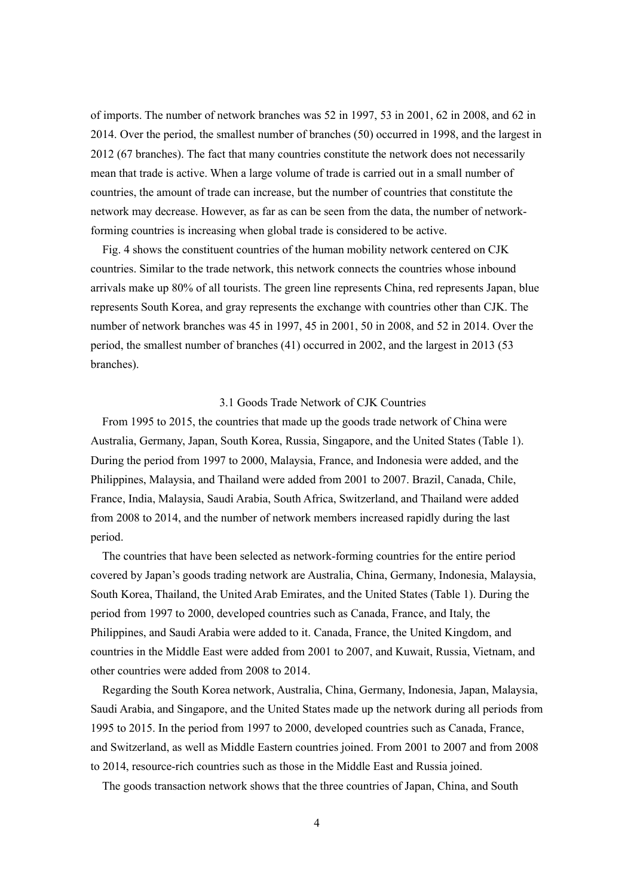of imports. The number of network branches was 52 in 1997, 53 in 2001, 62 in 2008, and 62 in 2014. Over the period, the smallest number of branches (50) occurred in 1998, and the largest in 2012 (67 branches). The fact that many countries constitute the network does not necessarily mean that trade is active. When a large volume of trade is carried out in a small number of countries, the amount of trade can increase, but the number of countries that constitute the network may decrease. However, as far as can be seen from the data, the number of networkforming countries is increasing when global trade is considered to be active.

Fig. 4 shows the constituent countries of the human mobility network centered on CJK countries. Similar to the trade network, this network connects the countries whose inbound arrivals make up 80% of all tourists. The green line represents China, red represents Japan, blue represents South Korea, and gray represents the exchange with countries other than CJK. The number of network branches was 45 in 1997, 45 in 2001, 50 in 2008, and 52 in 2014. Over the period, the smallest number of branches (41) occurred in 2002, and the largest in 2013 (53 branches).

### 3.1 Goods Trade Network of CJK Countries

From 1995 to 2015, the countries that made up the goods trade network of China were Australia, Germany, Japan, South Korea, Russia, Singapore, and the United States (Table 1). During the period from 1997 to 2000, Malaysia, France, and Indonesia were added, and the Philippines, Malaysia, and Thailand were added from 2001 to 2007. Brazil, Canada, Chile, France, India, Malaysia, Saudi Arabia, South Africa, Switzerland, and Thailand were added from 2008 to 2014, and the number of network members increased rapidly during the last period.

The countries that have been selected as network-forming countries for the entire period covered by Japan's goods trading network are Australia, China, Germany, Indonesia, Malaysia, South Korea, Thailand, the United Arab Emirates, and the United States (Table 1). During the period from 1997 to 2000, developed countries such as Canada, France, and Italy, the Philippines, and Saudi Arabia were added to it. Canada, France, the United Kingdom, and countries in the Middle East were added from 2001 to 2007, and Kuwait, Russia, Vietnam, and other countries were added from 2008 to 2014.

Regarding the South Korea network, Australia, China, Germany, Indonesia, Japan, Malaysia, Saudi Arabia, and Singapore, and the United States made up the network during all periods from 1995 to 2015. In the period from 1997 to 2000, developed countries such as Canada, France, and Switzerland, as well as Middle Eastern countries joined. From 2001 to 2007 and from 2008 to 2014, resource-rich countries such as those in the Middle East and Russia joined.

The goods transaction network shows that the three countries of Japan, China, and South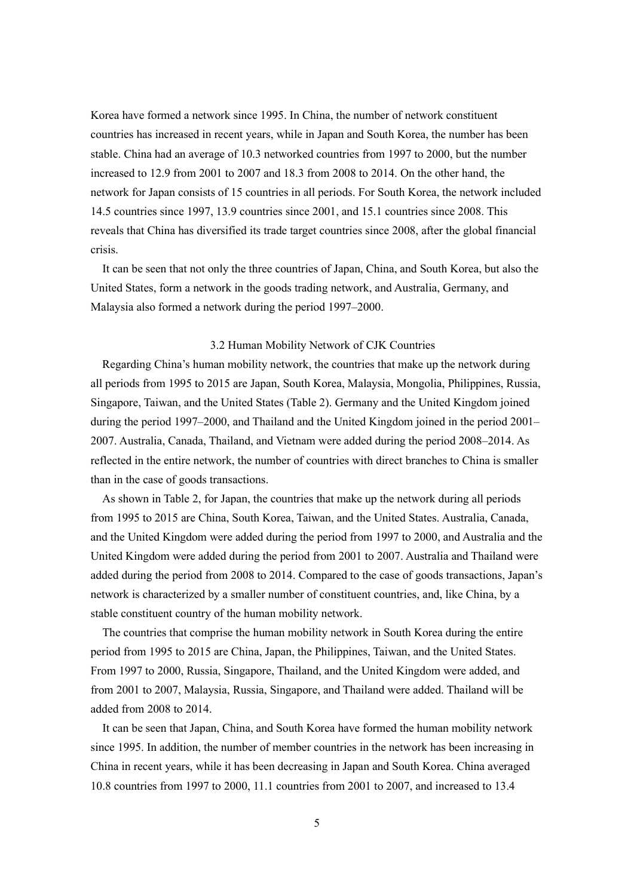Korea have formed a network since 1995. In China, the number of network constituent countries has increased in recent years, while in Japan and South Korea, the number has been stable. China had an average of 10.3 networked countries from 1997 to 2000, but the number increased to 12.9 from 2001 to 2007 and 18.3 from 2008 to 2014. On the other hand, the network for Japan consists of 15 countries in all periods. For South Korea, the network included 14.5 countries since 1997, 13.9 countries since 2001, and 15.1 countries since 2008. This reveals that China has diversified its trade target countries since 2008, after the global financial crisis.

It can be seen that not only the three countries of Japan, China, and South Korea, but also the United States, form a network in the goods trading network, and Australia, Germany, and Malaysia also formed a network during the period 1997–2000.

#### 3.2 Human Mobility Network of CJK Countries

Regarding China's human mobility network, the countries that make up the network during all periods from 1995 to 2015 are Japan, South Korea, Malaysia, Mongolia, Philippines, Russia, Singapore, Taiwan, and the United States (Table 2). Germany and the United Kingdom joined during the period 1997–2000, and Thailand and the United Kingdom joined in the period 2001– 2007. Australia, Canada, Thailand, and Vietnam were added during the period 2008–2014. As reflected in the entire network, the number of countries with direct branches to China is smaller than in the case of goods transactions.

As shown in Table 2, for Japan, the countries that make up the network during all periods from 1995 to 2015 are China, South Korea, Taiwan, and the United States. Australia, Canada, and the United Kingdom were added during the period from 1997 to 2000, and Australia and the United Kingdom were added during the period from 2001 to 2007. Australia and Thailand were added during the period from 2008 to 2014. Compared to the case of goods transactions, Japan's network is characterized by a smaller number of constituent countries, and, like China, by a stable constituent country of the human mobility network.

The countries that comprise the human mobility network in South Korea during the entire period from 1995 to 2015 are China, Japan, the Philippines, Taiwan, and the United States. From 1997 to 2000, Russia, Singapore, Thailand, and the United Kingdom were added, and from 2001 to 2007, Malaysia, Russia, Singapore, and Thailand were added. Thailand will be added from 2008 to 2014.

It can be seen that Japan, China, and South Korea have formed the human mobility network since 1995. In addition, the number of member countries in the network has been increasing in China in recent years, while it has been decreasing in Japan and South Korea. China averaged 10.8 countries from 1997 to 2000, 11.1 countries from 2001 to 2007, and increased to 13.4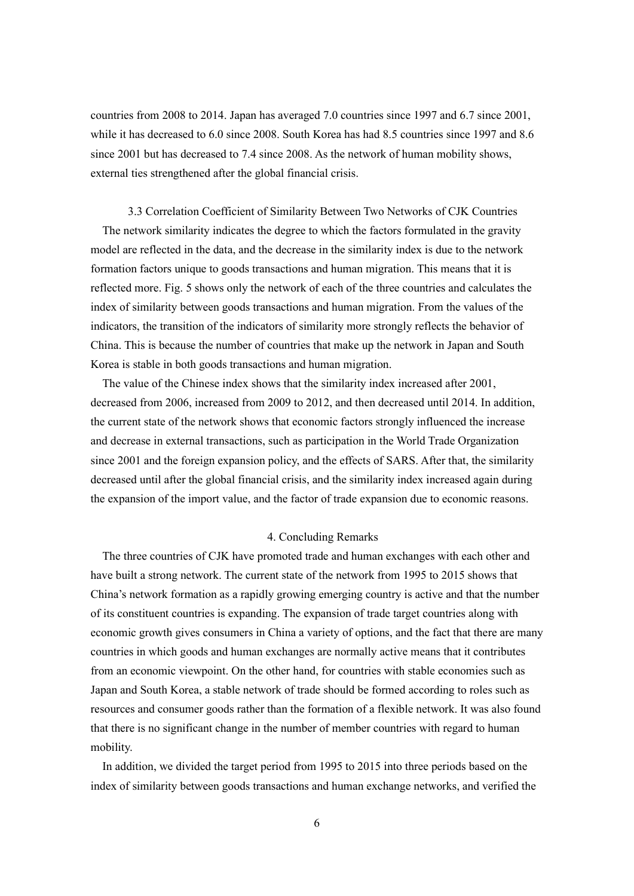countries from 2008 to 2014. Japan has averaged 7.0 countries since 1997 and 6.7 since 2001, while it has decreased to 6.0 since 2008. South Korea has had 8.5 countries since 1997 and 8.6 since 2001 but has decreased to 7.4 since 2008. As the network of human mobility shows, external ties strengthened after the global financial crisis.

3.3 Correlation Coefficient of Similarity Between Two Networks of CJK Countries The network similarity indicates the degree to which the factors formulated in the gravity model are reflected in the data, and the decrease in the similarity index is due to the network formation factors unique to goods transactions and human migration. This means that it is reflected more. Fig. 5 shows only the network of each of the three countries and calculates the index of similarity between goods transactions and human migration. From the values of the indicators, the transition of the indicators of similarity more strongly reflects the behavior of China. This is because the number of countries that make up the network in Japan and South Korea is stable in both goods transactions and human migration.

The value of the Chinese index shows that the similarity index increased after 2001, decreased from 2006, increased from 2009 to 2012, and then decreased until 2014. In addition, the current state of the network shows that economic factors strongly influenced the increase and decrease in external transactions, such as participation in the World Trade Organization since 2001 and the foreign expansion policy, and the effects of SARS. After that, the similarity decreased until after the global financial crisis, and the similarity index increased again during the expansion of the import value, and the factor of trade expansion due to economic reasons.

#### 4. Concluding Remarks

The three countries of CJK have promoted trade and human exchanges with each other and have built a strong network. The current state of the network from 1995 to 2015 shows that China's network formation as a rapidly growing emerging country is active and that the number of its constituent countries is expanding. The expansion of trade target countries along with economic growth gives consumers in China a variety of options, and the fact that there are many countries in which goods and human exchanges are normally active means that it contributes from an economic viewpoint. On the other hand, for countries with stable economies such as Japan and South Korea, a stable network of trade should be formed according to roles such as resources and consumer goods rather than the formation of a flexible network. It was also found that there is no significant change in the number of member countries with regard to human mobility.

In addition, we divided the target period from 1995 to 2015 into three periods based on the index of similarity between goods transactions and human exchange networks, and verified the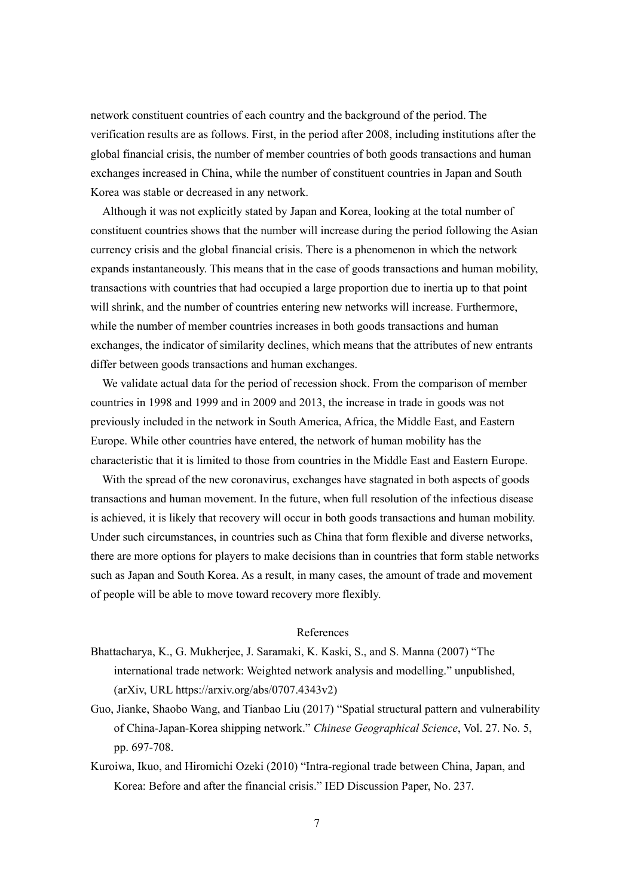network constituent countries of each country and the background of the period. The verification results are as follows. First, in the period after 2008, including institutions after the global financial crisis, the number of member countries of both goods transactions and human exchanges increased in China, while the number of constituent countries in Japan and South Korea was stable or decreased in any network.

Although it was not explicitly stated by Japan and Korea, looking at the total number of constituent countries shows that the number will increase during the period following the Asian currency crisis and the global financial crisis. There is a phenomenon in which the network expands instantaneously. This means that in the case of goods transactions and human mobility, transactions with countries that had occupied a large proportion due to inertia up to that point will shrink, and the number of countries entering new networks will increase. Furthermore, while the number of member countries increases in both goods transactions and human exchanges, the indicator of similarity declines, which means that the attributes of new entrants differ between goods transactions and human exchanges.

We validate actual data for the period of recession shock. From the comparison of member countries in 1998 and 1999 and in 2009 and 2013, the increase in trade in goods was not previously included in the network in South America, Africa, the Middle East, and Eastern Europe. While other countries have entered, the network of human mobility has the characteristic that it is limited to those from countries in the Middle East and Eastern Europe.

With the spread of the new coronavirus, exchanges have stagnated in both aspects of goods transactions and human movement. In the future, when full resolution of the infectious disease is achieved, it is likely that recovery will occur in both goods transactions and human mobility. Under such circumstances, in countries such as China that form flexible and diverse networks, there are more options for players to make decisions than in countries that form stable networks such as Japan and South Korea. As a result, in many cases, the amount of trade and movement of people will be able to move toward recovery more flexibly.

#### References

- Bhattacharya, K., G. Mukherjee, J. Saramaki, K. Kaski, S., and S. Manna (2007) "The international trade network: Weighted network analysis and modelling." unpublished, (arXiv, URL https://arxiv.org/abs/0707.4343v2)
- Guo, Jianke, Shaobo Wang, and Tianbao Liu (2017) "Spatial structural pattern and vulnerability of China-Japan-Korea shipping network." *Chinese Geographical Science*, Vol. 27. No. 5, pp. 697-708.
- Kuroiwa, Ikuo, and Hiromichi Ozeki (2010) "Intra-regional trade between China, Japan, and Korea: Before and after the financial crisis." IED Discussion Paper, No. 237.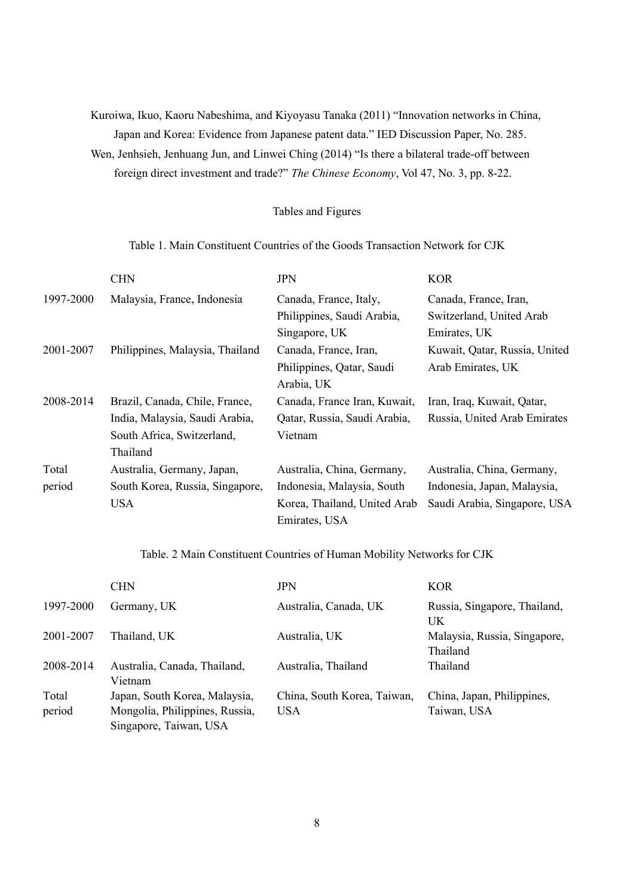Kuroiwa, Ikuo, Kaoru Nabeshima, and Kiyoyasu Tanaka (2011) "Innovation networks in China, Japan and Korea: Evidence from Japanese patent data." IED Discussion Paper, No. 285. Wen, Jenhsieh, Jenhuang Jun, and Linwei Ching (2014) "Is there a bilateral trade-off between foreign direct investment and trade?" *The Chinese Economy*, Vol 47, No. 3, pp. 8-22.

### Tables and Figures

### Table 1. Main Constituent Countries of the Goods Transaction Network for CJK

|           | <b>CHN</b>                      | <b>JPN</b>                   | <b>KOR</b>                    |
|-----------|---------------------------------|------------------------------|-------------------------------|
| 1997-2000 | Malaysia, France, Indonesia     | Canada, France, Italy,       | Canada, France, Iran,         |
|           |                                 | Philippines, Saudi Arabia,   | Switzerland, United Arab      |
|           |                                 | Singapore, UK                | Emirates, UK                  |
| 2001-2007 | Philippines, Malaysia, Thailand | Canada, France, Iran,        | Kuwait, Qatar, Russia, United |
|           |                                 | Philippines, Qatar, Saudi    | Arab Emirates, UK             |
|           |                                 | Arabia, UK                   |                               |
| 2008-2014 | Brazil, Canada, Chile, France,  | Canada, France Iran, Kuwait, | Iran, Iraq, Kuwait, Qatar,    |
|           | India, Malaysia, Saudi Arabia,  | Qatar, Russia, Saudi Arabia, | Russia, United Arab Emirates  |
|           | South Africa, Switzerland,      | Vietnam                      |                               |
|           | Thailand                        |                              |                               |
| Total     | Australia, Germany, Japan,      | Australia, China, Germany,   | Australia, China, Germany,    |
| period    | South Korea, Russia, Singapore, | Indonesia, Malaysia, South   | Indonesia, Japan, Malaysia,   |
|           | <b>USA</b>                      | Korea, Thailand, United Arab | Saudi Arabia, Singapore, USA  |
|           |                                 | Emirates, USA                |                               |

## Table. 2 Main Constituent Countries of Human Mobility Networks for CJK

|                 | <b>CHN</b>                                                                                | <b>JPN</b>                                | <b>KOR</b>                                |
|-----------------|-------------------------------------------------------------------------------------------|-------------------------------------------|-------------------------------------------|
| 1997-2000       | Germany, UK                                                                               | Australia, Canada, UK                     | Russia, Singapore, Thailand,<br>UK        |
| 2001-2007       | Thailand, UK                                                                              | Australia, UK                             | Malaysia, Russia, Singapore,<br>Thailand  |
| 2008-2014       | Australia, Canada, Thailand,<br>Vietnam                                                   | Australia, Thailand                       | Thailand                                  |
| Total<br>period | Japan, South Korea, Malaysia,<br>Mongolia, Philippines, Russia,<br>Singapore, Taiwan, USA | China, South Korea, Taiwan,<br><b>USA</b> | China, Japan, Philippines,<br>Taiwan, USA |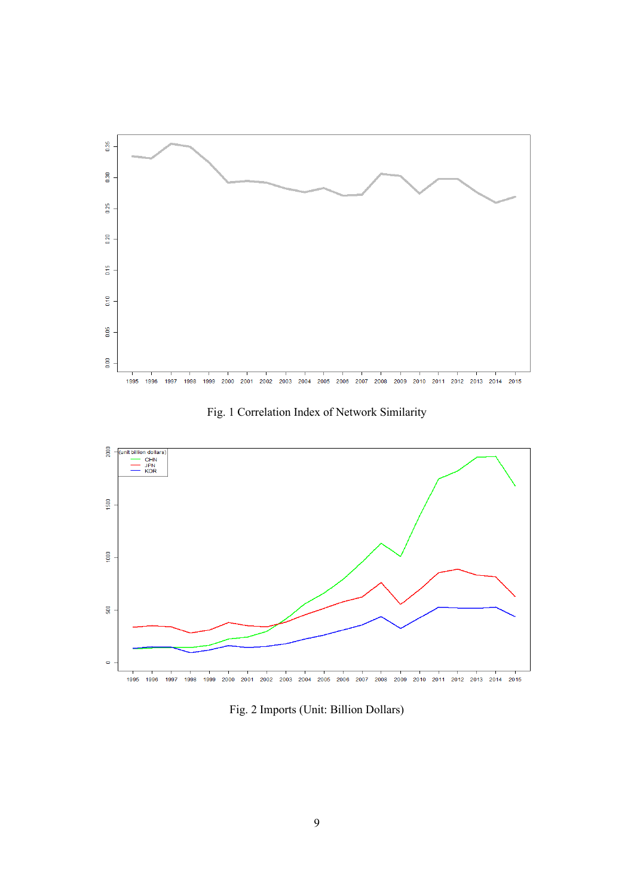

Fig. 1 Correlation Index of Network Similarity



Fig. 2 Imports (Unit: Billion Dollars)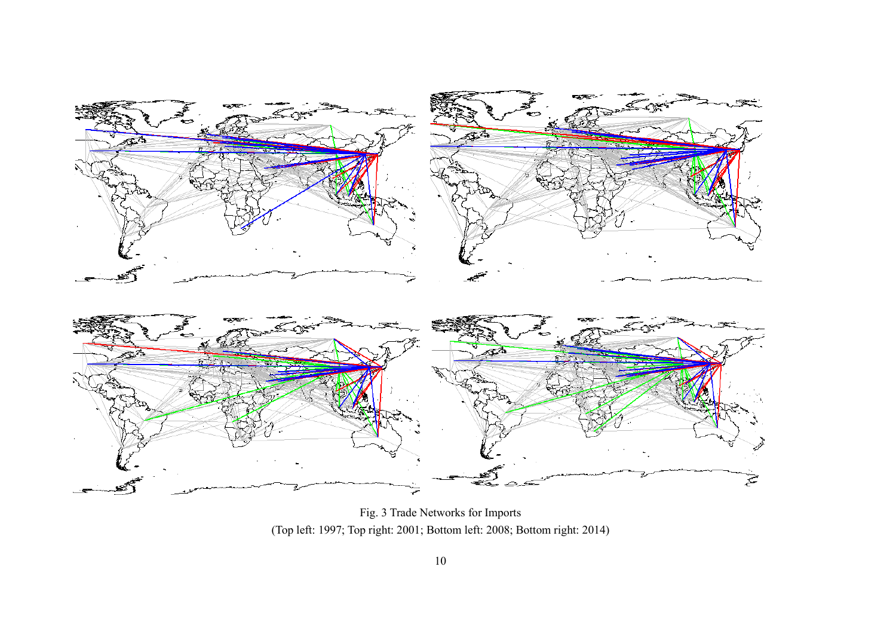

Fig. 3 Trade Networks for Imports (Top left: 1997; Top right: 2001; Bottom left: 2008; Bottom right: 2014)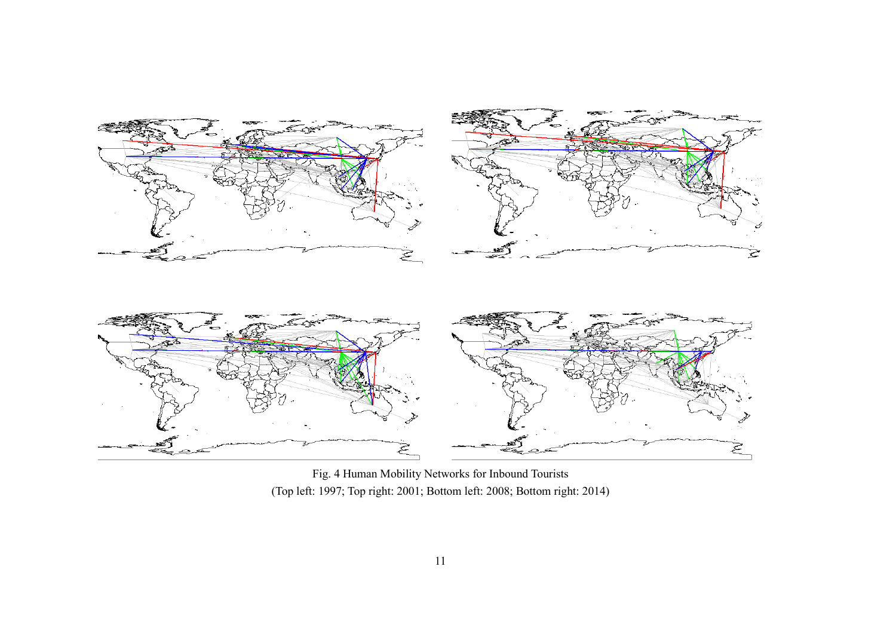

Fig. 4 Human Mobility Networks for Inbound Tourists (Top left: 1997; Top right: 2001; Bottom left: 2008; Bottom right: 2014)